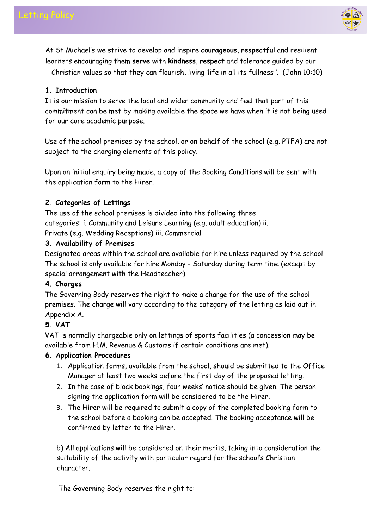

At St Michael's we strive to develop and inspire **courageous**, **respectful** and resilient learners encouraging them **serve** with **kindness**, **respect** and tolerance guided by our

Christian values so that they can flourish, living 'life in all its fullness '. (John 10:10)

# **1. Introduction**

It is our mission to serve the local and wider community and feel that part of this commitment can be met by making available the space we have when it is not being used for our core academic purpose.

Use of the school premises by the school, or on behalf of the school (e.g. PTFA) are not subject to the charging elements of this policy.

Upon an initial enquiry being made, a copy of the Booking Conditions will be sent with the application form to the Hirer.

# **2. Categories of Lettings**

The use of the school premises is divided into the following three categories: i. Community and Leisure Learning (e.g. adult education) ii. Private (e.g. Wedding Receptions) iii. Commercial

# **3. Availability of Premises**

Designated areas within the school are available for hire unless required by the school. The school is only available for hire Monday - Saturday during term time (except by special arrangement with the Headteacher).

# **4. Charges**

The Governing Body reserves the right to make a charge for the use of the school premises. The charge will vary according to the category of the letting as laid out in Appendix A.

# **5. VAT**

VAT is normally chargeable only on lettings of sports facilities (a concession may be available from H.M. Revenue & Customs if certain conditions are met).

# **6. Application Procedures**

- 1. Application forms, available from the school, should be submitted to the Office Manager at least two weeks before the first day of the proposed letting.
- 2. In the case of block bookings, four weeks' notice should be given. The person signing the application form will be considered to be the Hirer.
- 3. The Hirer will be required to submit a copy of the completed booking form to the school before a booking can be accepted. The booking acceptance will be confirmed by letter to the Hirer.

b) All applications will be considered on their merits, taking into consideration the suitability of the activity with particular regard for the school's Christian character.

The Governing Body reserves the right to: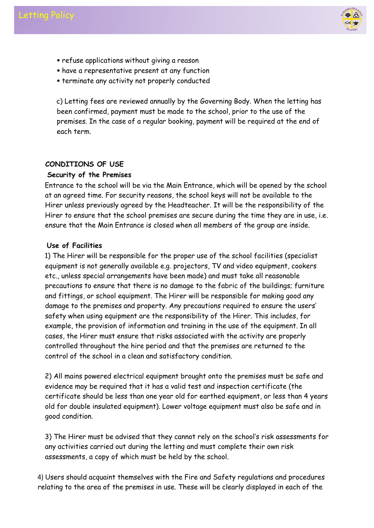



- refuse applications without giving a reason
- have a representative present at any function
- terminate any activity not properly conducted

c) Letting fees are reviewed annually by the Governing Body. When the letting has been confirmed, payment must be made to the school, prior to the use of the premises. In the case of a regular booking, payment will be required at the end of each term.

### **CONDITIONS OF USE**

### **Security of the Premises**

Entrance to the school will be via the Main Entrance, which will be opened by the school at an agreed time. For security reasons, the school keys will not be available to the Hirer unless previously agreed by the Headteacher. It will be the responsibility of the Hirer to ensure that the school premises are secure during the time they are in use, i.e. ensure that the Main Entrance is closed when all members of the group are inside.

### **Use of Facilities**

1) The Hirer will be responsible for the proper use of the school facilities (specialist equipment is not generally available e.g. projectors, TV and video equipment, cookers etc., unless special arrangements have been made) and must take all reasonable precautions to ensure that there is no damage to the fabric of the buildings; furniture and fittings, or school equipment. The Hirer will be responsible for making good any damage to the premises and property. Any precautions required to ensure the users' safety when using equipment are the responsibility of the Hirer. This includes, for example, the provision of information and training in the use of the equipment. In all cases, the Hirer must ensure that risks associated with the activity are properly controlled throughout the hire period and that the premises are returned to the control of the school in a clean and satisfactory condition.

2) All mains powered electrical equipment brought onto the premises must be safe and evidence may be required that it has a valid test and inspection certificate (the certificate should be less than one year old for earthed equipment, or less than 4 years old for double insulated equipment). Lower voltage equipment must also be safe and in good condition.

3) The Hirer must be advised that they cannot rely on the school's risk assessments for any activities carried out during the letting and must complete their own risk assessments, a copy of which must be held by the school.

4) Users should acquaint themselves with the Fire and Safety regulations and procedures relating to the area of the premises in use. These will be clearly displayed in each of the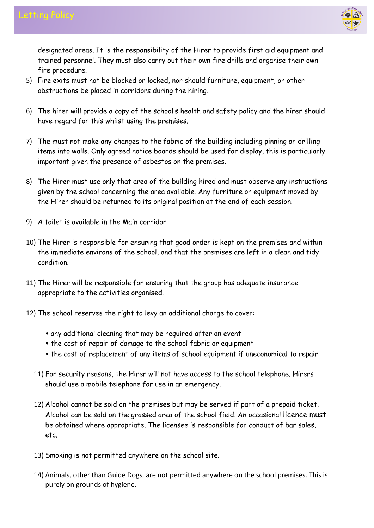

designated areas. It is the responsibility of the Hirer to provide first aid equipment and trained personnel. They must also carry out their own fire drills and organise their own fire procedure.

- 5) Fire exits must not be blocked or locked, nor should furniture, equipment, or other obstructions be placed in corridors during the hiring.
- 6) The hirer will provide a copy of the school's health and safety policy and the hirer should have regard for this whilst using the premises.
- 7) The must not make any changes to the fabric of the building including pinning or drilling items into walls. Only agreed notice boards should be used for display, this is particularly important given the presence of asbestos on the premises.
- 8) The Hirer must use only that area of the building hired and must observe any instructions given by the school concerning the area available. Any furniture or equipment moved by the Hirer should be returned to its original position at the end of each session.
- 9) A toilet is available in the Main corridor
- 10) The Hirer is responsible for ensuring that good order is kept on the premises and within the immediate environs of the school, and that the premises are left in a clean and tidy condition.
- 11) The Hirer will be responsible for ensuring that the group has adequate insurance appropriate to the activities organised.
- 12) The school reserves the right to levy an additional charge to cover:
	- any additional cleaning that may be required after an event
	- the cost of repair of damage to the school fabric or equipment
	- the cost of replacement of any items of school equipment if uneconomical to repair
	- 11) For security reasons, the Hirer will not have access to the school telephone. Hirers should use a mobile telephone for use in an emergency.
	- 12) Alcohol cannot be sold on the premises but may be served if part of a prepaid ticket. Alcohol can be sold on the grassed area of the school field. An occasional licence must be obtained where appropriate. The licensee is responsible for conduct of bar sales, etc.
	- 13) Smoking is not permitted anywhere on the school site.
	- 14) Animals, other than Guide Dogs, are not permitted anywhere on the school premises. This is purely on grounds of hygiene.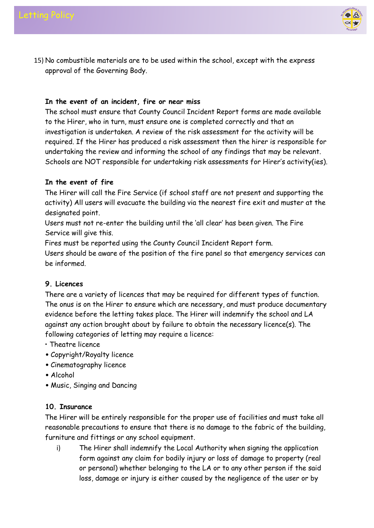

15) No combustible materials are to be used within the school, except with the express approval of the Governing Body.

## **In the event of an incident, fire or near miss**

The school must ensure that County Council Incident Report forms are made available to the Hirer, who in turn, must ensure one is completed correctly and that an investigation is undertaken. A review of the risk assessment for the activity will be required. If the Hirer has produced a risk assessment then the hirer is responsible for undertaking the review and informing the school of any findings that may be relevant. Schools are NOT responsible for undertaking risk assessments for Hirer's activity(ies).

## **In the event of fire**

The Hirer will call the Fire Service (if school staff are not present and supporting the activity) All users will evacuate the building via the nearest fire exit and muster at the designated point.

Users must not re-enter the building until the 'all clear' has been given. The Fire Service will give this.

Fires must be reported using the County Council Incident Report form.

Users should be aware of the position of the fire panel so that emergency services can be informed.

### **9. Licences**

There are a variety of licences that may be required for different types of function. The onus is on the Hirer to ensure which are necessary, and must produce documentary evidence before the letting takes place. The Hirer will indemnify the school and LA against any action brought about by failure to obtain the necessary licence(s). The following categories of letting may require a licence:

- Theatre licence
- Copyright/Royalty licence
- Cinematography licence
- Alcohol
- Music, Singing and Dancing

### **10. Insurance**

The Hirer will be entirely responsible for the proper use of facilities and must take all reasonable precautions to ensure that there is no damage to the fabric of the building, furniture and fittings or any school equipment.

i) The Hirer shall indemnify the Local Authority when signing the application form against any claim for bodily injury or loss of damage to property (real or personal) whether belonging to the LA or to any other person if the said loss, damage or injury is either caused by the negligence of the user or by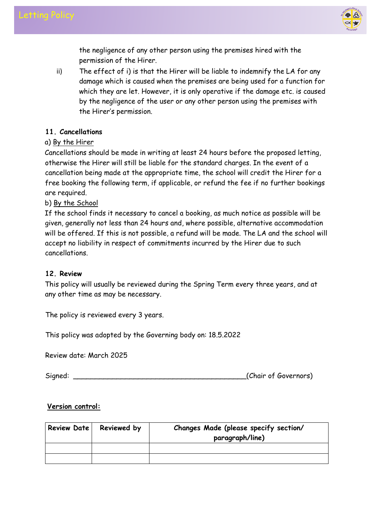

the negligence of any other person using the premises hired with the permission of the Hirer.

ii) The effect of i) is that the Hirer will be liable to indemnify the LA for any damage which is caused when the premises are being used for a function for which they are let. However, it is only operative if the damage etc. is caused by the negligence of the user or any other person using the premises with the Hirer's permission.

## **11. Cancellations**

# a) By the Hirer

Cancellations should be made in writing at least 24 hours before the proposed letting, otherwise the Hirer will still be liable for the standard charges. In the event of a cancellation being made at the appropriate time, the school will credit the Hirer for a free booking the following term, if applicable, or refund the fee if no further bookings are required.

# b) By the School

If the school finds it necessary to cancel a booking, as much notice as possible will be given, generally not less than 24 hours and, where possible, alternative accommodation will be offered. If this is not possible, a refund will be made. The LA and the school will accept no liability in respect of commitments incurred by the Hirer due to such cancellations.

### **12. Review**

This policy will usually be reviewed during the Spring Term every three years, and at any other time as may be necessary.

The policy is reviewed every 3 years.

This policy was adopted by the Governing body on: 18.5.2022

Review date: March 2025

Signed: Chair of Governors)

### **Version control:**

| Review Date | Reviewed by | Changes Made (please specify section/<br>paragraph/line) |
|-------------|-------------|----------------------------------------------------------|
|             |             |                                                          |
|             |             |                                                          |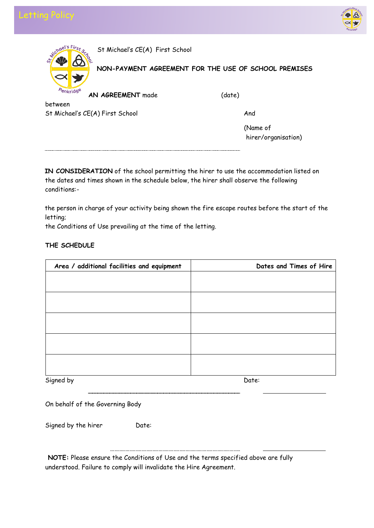



| Wichael's First                 | St Michael's CE(A) First School                      |          |
|---------------------------------|------------------------------------------------------|----------|
| $\breve{\mathcal{S}}$           | NON-PAYMENT AGREEMENT FOR THE USE OF SCHOOL PREMISES |          |
| Penkridge                       | AN AGREEMENT made                                    | (date)   |
| between                         |                                                      |          |
| St Michael's CE(A) First School |                                                      | And      |
|                                 |                                                      | (Name of |

hirer/organisation)

**IN CONSIDERATION** of the school permitting the hirer to use the accommodation listed on the dates and times shown in the schedule below, the hirer shall observe the following conditions:-

the person in charge of your activity being shown the fire escape routes before the start of the letting;

the Conditions of Use prevailing at the time of the letting.

### **THE SCHEDULE**

| Area / additional facilities and equipment | Dates and Times of Hire |
|--------------------------------------------|-------------------------|
|                                            |                         |
|                                            |                         |
|                                            |                         |
|                                            |                         |
|                                            |                         |
|                                            |                         |
|                                            |                         |
|                                            |                         |
|                                            |                         |
|                                            |                         |
| Signed by                                  | Date:                   |

On behalf of the Governing Body

Signed by the hirer Date:

**NOTE:** Please ensure the Conditions of Use and the terms specified above are fully understood. Failure to comply will invalidate the Hire Agreement.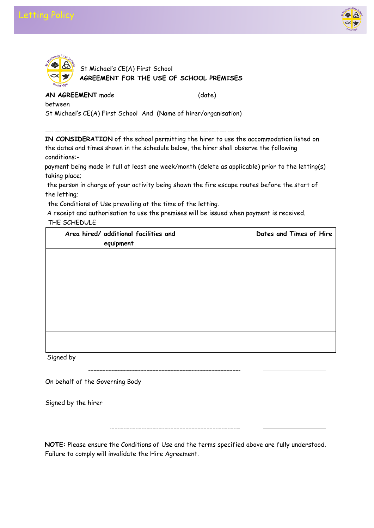





**AN AGREEMENT** made (date)

between

St Michael's CE(A) First School And (Name of hirer/organisation)

**IN CONSIDERATION** of the school permitting the hirer to use the accommodation listed on the dates and times shown in the schedule below, the hirer shall observe the following conditions:-

payment being made in full at least one week/month (delete as applicable) prior to the letting(s) taking place;

the person in charge of your activity being shown the fire escape routes before the start of the letting;

the Conditions of Use prevailing at the time of the letting.

A receipt and authorisation to use the premises will be issued when payment is received. THE SCHEDULE

| Area hired/ additional facilities and<br>equipment | Dates and Times of Hire |
|----------------------------------------------------|-------------------------|
|                                                    |                         |
|                                                    |                         |
|                                                    |                         |
|                                                    |                         |
|                                                    |                         |

Signed by

On behalf of the Governing Body

Signed by the hirer

**NOTE:** Please ensure the Conditions of Use and the terms specified above are fully understood. Failure to comply will invalidate the Hire Agreement.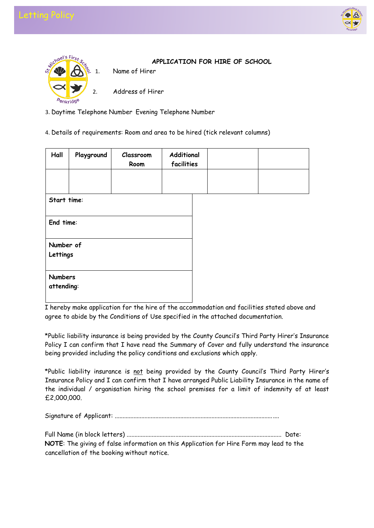





**APPLICATION FOR HIRE OF SCHOOL** 

Address of Hirer

- 3. Daytime Telephone Number Evening Telephone Number
- 4. Details of requirements: Room and area to be hired (tick relevant columns)

| Hall                         | Playground | Classroom<br>Room | Additional<br>facilities |  |
|------------------------------|------------|-------------------|--------------------------|--|
|                              |            |                   |                          |  |
| Start time:                  |            |                   |                          |  |
| End time:                    |            |                   |                          |  |
| Number of<br>Lettings        |            |                   |                          |  |
| <b>Numbers</b><br>attending: |            |                   |                          |  |

I hereby make application for the hire of the accommodation and facilities stated above and agree to abide by the Conditions of Use specified in the attached documentation.

\*Public liability insurance is being provided by the County Council's Third Party Hirer's Insurance Policy I can confirm that I have read the Summary of Cover and fully understand the insurance being provided including the policy conditions and exclusions which apply.

\*Public liability insurance is not being provided by the County Council's Third Party Hirer's Insurance Policy and I can confirm that I have arranged Public Liability Insurance in the name of the individual / organisation hiring the school premises for a limit of indemnity of at least £2,000,000.

Signature of Applicant: .........................................................................................................

|--|--|--|--|

**NOTE**: The giving of false information on this Application for Hire Form may lead to the cancellation of the booking without notice.